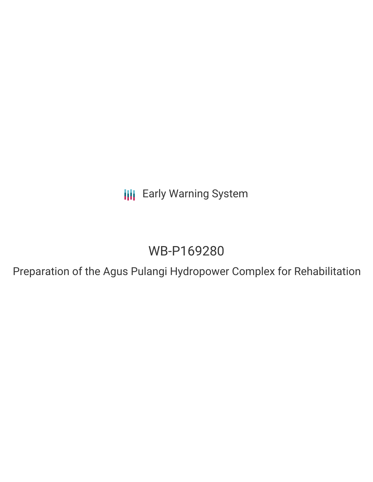**III** Early Warning System

## WB-P169280

Preparation of the Agus Pulangi Hydropower Complex for Rehabilitation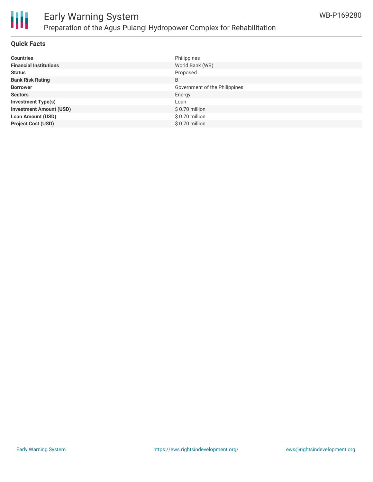

## Early Warning System Preparation of the Agus Pulangi Hydropower Complex for Rehabilitation

#### **Quick Facts**

| <b>Countries</b>               | Philippines                   |
|--------------------------------|-------------------------------|
| <b>Financial Institutions</b>  | World Bank (WB)               |
| <b>Status</b>                  | Proposed                      |
| <b>Bank Risk Rating</b>        | B                             |
| <b>Borrower</b>                | Government of the Philippines |
| <b>Sectors</b>                 | Energy                        |
| <b>Investment Type(s)</b>      | Loan                          |
| <b>Investment Amount (USD)</b> | $$0.70$ million               |
| <b>Loan Amount (USD)</b>       | \$0.70 million                |
| <b>Project Cost (USD)</b>      | \$0.70 million                |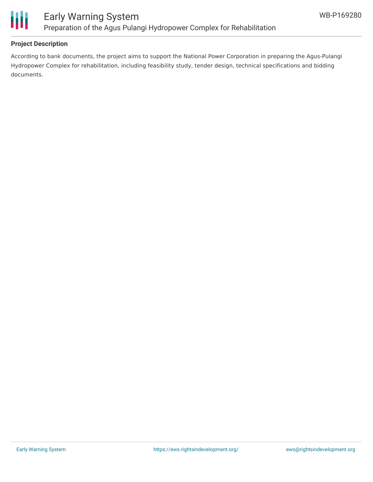

#### **Project Description**

According to bank documents, the project aims to support the National Power Corporation in preparing the Agus-Pulangi Hydropower Complex for rehabilitation, including feasibility study, tender design, technical specifications and bidding documents.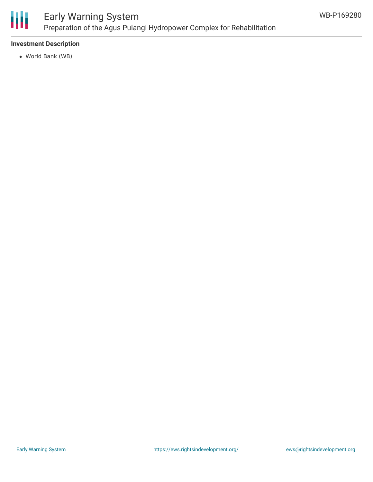

### Early Warning System Preparation of the Agus Pulangi Hydropower Complex for Rehabilitation

#### **Investment Description**

World Bank (WB)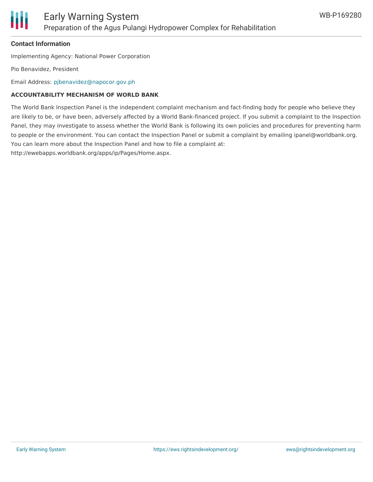

#### **Contact Information**

Implementing Agency: National Power Corporation

Pio Benavidez, President

Email Address: [pjbenavidez@napocor.gov.ph](mailto:pjbenavidez@napocor.gov.ph)

#### **ACCOUNTABILITY MECHANISM OF WORLD BANK**

The World Bank Inspection Panel is the independent complaint mechanism and fact-finding body for people who believe they are likely to be, or have been, adversely affected by a World Bank-financed project. If you submit a complaint to the Inspection Panel, they may investigate to assess whether the World Bank is following its own policies and procedures for preventing harm to people or the environment. You can contact the Inspection Panel or submit a complaint by emailing ipanel@worldbank.org. You can learn more about the Inspection Panel and how to file a complaint at: http://ewebapps.worldbank.org/apps/ip/Pages/Home.aspx.